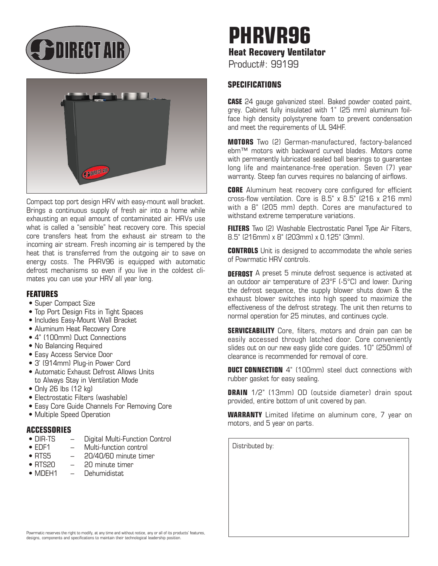**BOIRECT AIR** 



Compact top port design HRV with easy-mount wall bracket. Brings a continuous supply of fresh air into a home while exhausting an equal amount of contaminated air. HRVs use what is called a "sensible" heat recovery core. This special core transfers heat from the exhaust air stream to the incoming air stream. Fresh incoming air is tempered by the heat that is transferred from the outgoing air to save on energy costs. The PHRV96 is equipped with automatic defrost mechanisms so even if you live in the coldest climates you can use your HRV all year long.

#### **FEATURES**

- Super Compact Size
- Top Port Design Fits in Tight Spaces
- Includes Easy-Mount Wall Bracket
- Aluminum Heat Recovery Core
- 4" (100mm) Duct Connections
- No Balancing Required
- Easy Access Service Door
- 3' (914mm) Plug-in Power Cord
- Automatic Exhaust Defrost Allows Units to Always Stay in Ventilation Mode
- Only 26 lbs (12 kg)
- Electrostatic Filters (washable)
- Easy Core Guide Channels For Removing Core
- Multiple Speed Operation

## **ACCESSORIES**

- $-$  Digital Multi-Function Control
- FDF1 Multi-function control
- RTS5 20/40/60 minute timer
- RTS20 20 minute timer
- MDFH1 Dehumidistat

# **PHRVR96 Heat Recovery Ventilator**

Product#: 99199

### **SPECIFICATIONS**

**CASE** 24 gauge galvanized steel. Baked powder coated paint, grey. Cabinet fully insulated with 1" (25 mm) aluminum foilface high density polystyrene foam to prevent condensation and meet the requirements of UL 94HF.

**MOTORS** Two (2) German-manufactured, factory-balanced ebm™ motors with backward curved blades. Motors come with permanently lubricated sealed ball bearings to quarantee long life and maintenance-free operation. Seven (7) year warranty. Steep fan curves requires no balancing of airflows.

**CORE** Aluminum heat recovery core configured for efficient cross-flow ventilation. Core is  $8.5$ " x  $8.5$ " (216 x 216 mm) with a 8" (205 mm) depth. Cores are manufactured to withstand extreme temperature variations.

**FILTERS** Two (2) Washable Electrostatic Panel Type Air Filters, 8.5" (216mm) x 8" (203mm) x 0.125" (3mm).

**CONTROLS** Unit is designed to accommodate the whole series of Powrmatic HRV controls.

**DEFROST** A preset 5 minute defrost sequence is activated at an outdoor air temperature of 23°F (-5°C) and lower. During the defrost sequence, the supply blower shuts down & the exhaust blower switches into high speed to maximize the effectiveness of the defrost strategy. The unit then returns to normal operation for 25 minutes, and continues cycle.

**SERVICEABILITY** Core, filters, motors and drain pan can be easily accessed through latched door. Core conveniently slides out on our new easy glide core guides. 10" (250mm) of clearance is recommended for removal of core.

**DUCT CONNECTION** 4" (100mm) steel duct connections with rubber gasket for easy sealing.

**DRAIN** 1/2" (13mm) OD (outside diameter) drain spout provided, entire bottom of unit covered by pan.

**WARRANTY** Limited lifetime on aluminum core, 7 year on motors, and 5 year on parts.

Distributed by:

Powrmatic reserves the right to modify, at any time and without notice, any or all of its products' features, designs, components and specifications to maintain their technological leadership position.